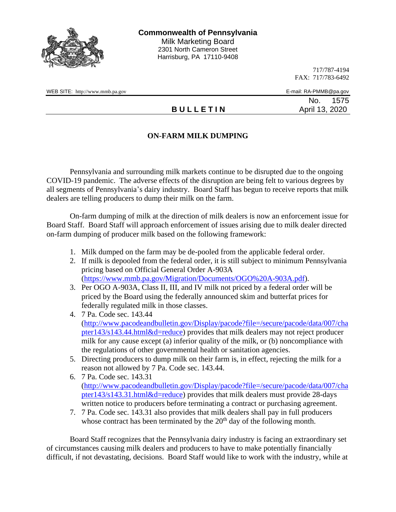

717/787-4194 FAX: 717/783-6492

WEB SITE: http://www.mmb.pa.gov E-mail: RA-PMMB@pa.gov

No. 1575 **B U L L E T I N** April 13, 2020

## **ON-FARM MILK DUMPING**

Pennsylvania and surrounding milk markets continue to be disrupted due to the ongoing COVID-19 pandemic. The adverse effects of the disruption are being felt to various degrees by all segments of Pennsylvania's dairy industry. Board Staff has begun to receive reports that milk dealers are telling producers to dump their milk on the farm.

On-farm dumping of milk at the direction of milk dealers is now an enforcement issue for Board Staff. Board Staff will approach enforcement of issues arising due to milk dealer directed on-farm dumping of producer milk based on the following framework:

- 1. Milk dumped on the farm may be de-pooled from the applicable federal order.
- 2. If milk is depooled from the federal order, it is still subject to minimum Pennsylvania pricing based on Official General Order A-903A [\(https://www.mmb.pa.gov/Migration/Documents/OGO%20A-903A.pdf\)](https://www.mmb.pa.gov/Migration/Documents/OGO%20A-903A.pdf).
- 3. Per OGO A-903A, Class II, III, and IV milk not priced by a federal order will be priced by the Board using the federally announced skim and butterfat prices for federally regulated milk in those classes.
- 4. 7 Pa. Code sec. 143.44 [\(http://www.pacodeandbulletin.gov/Display/pacode?file=/secure/pacode/data/007/cha](http://www.pacodeandbulletin.gov/Display/pacode?file=/secure/pacode/data/007/chapter143/s143.44.html&d=reduce) [pter143/s143.44.html&d=reduce\)](http://www.pacodeandbulletin.gov/Display/pacode?file=/secure/pacode/data/007/chapter143/s143.44.html&d=reduce) provides that milk dealers may not reject producer milk for any cause except (a) inferior quality of the milk, or (b) noncompliance with the regulations of other governmental health or sanitation agencies.
- 5. Directing producers to dump milk on their farm is, in effect, rejecting the milk for a reason not allowed by 7 Pa. Code sec. 143.44.
- 6. 7 Pa. Code sec. 143.31 [\(http://www.pacodeandbulletin.gov/Display/pacode?file=/secure/pacode/data/007/cha](http://www.pacodeandbulletin.gov/Display/pacode?file=/secure/pacode/data/007/chapter143/s143.31.html&d=reduce) [pter143/s143.31.html&d=reduce\)](http://www.pacodeandbulletin.gov/Display/pacode?file=/secure/pacode/data/007/chapter143/s143.31.html&d=reduce) provides that milk dealers must provide 28-days written notice to producers before terminating a contract or purchasing agreement.
- 7. 7 Pa. Code sec. 143.31 also provides that milk dealers shall pay in full producers whose contract has been terminated by the  $20<sup>th</sup>$  day of the following month.

Board Staff recognizes that the Pennsylvania dairy industry is facing an extraordinary set of circumstances causing milk dealers and producers to have to make potentially financially difficult, if not devastating, decisions. Board Staff would like to work with the industry, while at